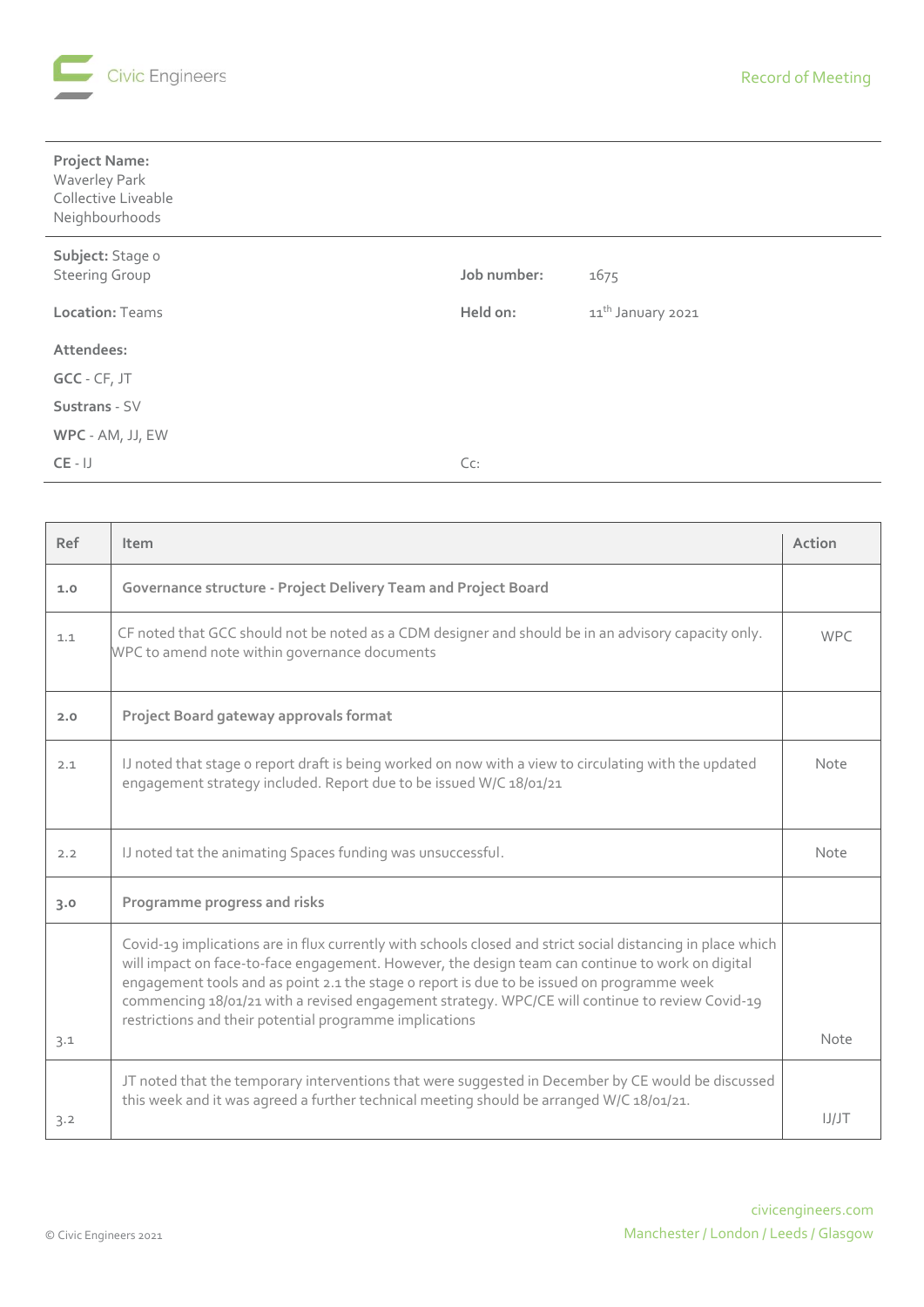

| <b>Project Name:</b><br>Waverley Park<br>Collective Liveable<br>Neighbourhoods |             |                               |
|--------------------------------------------------------------------------------|-------------|-------------------------------|
| Subject: Stage o                                                               |             |                               |
| <b>Steering Group</b>                                                          | Job number: | 1675                          |
| <b>Location: Teams</b>                                                         | Held on:    | 11 <sup>th</sup> January 2021 |
| Attendees:                                                                     |             |                               |
| GCC - CF, JT                                                                   |             |                               |
| Sustrans - SV                                                                  |             |                               |
| WPC - AM, JJ, EW                                                               |             |                               |
| $CE - IJ$                                                                      | Cc:         |                               |

| Ref | Item                                                                                                                                                                                                                                                                                                                                                                                                                                                                        | Action     |
|-----|-----------------------------------------------------------------------------------------------------------------------------------------------------------------------------------------------------------------------------------------------------------------------------------------------------------------------------------------------------------------------------------------------------------------------------------------------------------------------------|------------|
| 1.0 | Governance structure - Project Delivery Team and Project Board                                                                                                                                                                                                                                                                                                                                                                                                              |            |
| 1.1 | CF noted that GCC should not be noted as a CDM designer and should be in an advisory capacity only.<br>WPC to amend note within governance documents                                                                                                                                                                                                                                                                                                                        | <b>WPC</b> |
| 2.0 | Project Board gateway approvals format                                                                                                                                                                                                                                                                                                                                                                                                                                      |            |
| 2.1 | IJ noted that stage o report draft is being worked on now with a view to circulating with the updated<br>engagement strategy included. Report due to be issued W/C 18/01/21                                                                                                                                                                                                                                                                                                 | Note       |
| 2.2 | IJ noted tat the animating Spaces funding was unsuccessful.                                                                                                                                                                                                                                                                                                                                                                                                                 | Note       |
| 3.0 | Programme progress and risks                                                                                                                                                                                                                                                                                                                                                                                                                                                |            |
| 3.1 | Covid-19 implications are in flux currently with schools closed and strict social distancing in place which<br>will impact on face-to-face engagement. However, the design team can continue to work on digital<br>engagement tools and as point 2.1 the stage o report is due to be issued on programme week<br>commencing 18/01/21 with a revised engagement strategy. WPC/CE will continue to review Covid-19<br>restrictions and their potential programme implications | Note       |
|     | JT noted that the temporary interventions that were suggested in December by CE would be discussed                                                                                                                                                                                                                                                                                                                                                                          |            |
| 3.2 | this week and it was agreed a further technical meeting should be arranged W/C 18/01/21.                                                                                                                                                                                                                                                                                                                                                                                    | IJ/JT      |